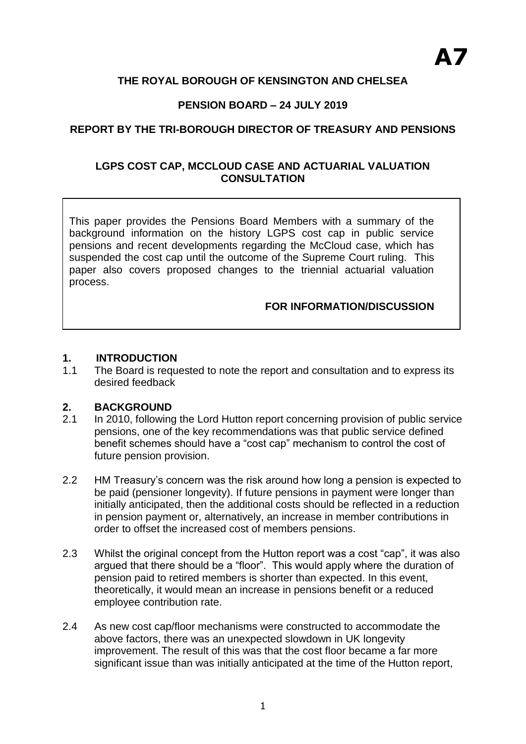# **THE ROYAL BOROUGH OF KENSINGTON AND CHELSEA**

# **PENSION BOARD – 24 JULY 2019**

# **REPORT BY THE TRI-BOROUGH DIRECTOR OF TREASURY AND PENSIONS**

### **LGPS COST CAP, MCCLOUD CASE AND ACTUARIAL VALUATION CONSULTATION**

This paper provides the Pensions Board Members with a summary of the background information on the history LGPS cost cap in public service pensions and recent developments regarding the McCloud case, which has suspended the cost cap until the outcome of the Supreme Court ruling. This paper also covers proposed changes to the triennial actuarial valuation process.

### **FOR INFORMATION/DISCUSSION**

### **1. INTRODUCTION**

**1. INTRODUCTION**

1.1 The Board is requested to note the report and consultation and to express its desired feedback

### **2. BACKGROUND**

- 2.1 In 2010, following the Lord Hutton report concerning provision of public service pensions, one of the key recommendations was that public service defined benefit schemes should have a "cost cap" mechanism to control the cost of future pension provision.
- 2.2 HM Treasury's concern was the risk around how long a pension is expected to be paid (pensioner longevity). If future pensions in payment were longer than initially anticipated, then the additional costs should be reflected in a reduction in pension payment or, alternatively, an increase in member contributions in order to offset the increased cost of members pensions.
- 2.3 Whilst the original concept from the Hutton report was a cost "cap", it was also argued that there should be a "floor". This would apply where the duration of pension paid to retired members is shorter than expected. In this event, theoretically, it would mean an increase in pensions benefit or a reduced employee contribution rate.
- 2.4 As new cost cap/floor mechanisms were constructed to accommodate the above factors, there was an unexpected slowdown in UK longevity improvement. The result of this was that the cost floor became a far more significant issue than was initially anticipated at the time of the Hutton report,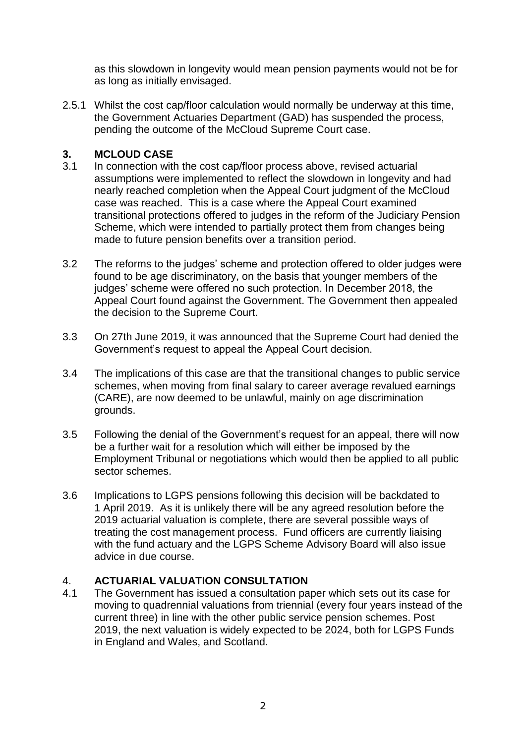as this slowdown in longevity would mean pension payments would not be for as long as initially envisaged.

2.5.1 Whilst the cost cap/floor calculation would normally be underway at this time, the Government Actuaries Department (GAD) has suspended the process, pending the outcome of the McCloud Supreme Court case.

# **3. MCLOUD CASE**

- 3.1 In connection with the cost cap/floor process above, revised actuarial assumptions were implemented to reflect the slowdown in longevity and had nearly reached completion when the Appeal Court judgment of the McCloud case was reached. This is a case where the Appeal Court examined transitional protections offered to judges in the reform of the Judiciary Pension Scheme, which were intended to partially protect them from changes being made to future pension benefits over a transition period.
- 3.2 The reforms to the judges' scheme and protection offered to older judges were found to be age discriminatory, on the basis that younger members of the judges' scheme were offered no such protection. In December 2018, the Appeal Court found against the Government. The Government then appealed the decision to the Supreme Court.
- 3.3 On 27th June 2019, it was announced that the Supreme Court had denied the Government's request to appeal the Appeal Court decision.
- 3.4 The implications of this case are that the transitional changes to public service schemes, when moving from final salary to career average revalued earnings (CARE), are now deemed to be unlawful, mainly on age discrimination grounds.
- 3.5 Following the denial of the Government's request for an appeal, there will now be a further wait for a resolution which will either be imposed by the Employment Tribunal or negotiations which would then be applied to all public sector schemes.
- 3.6 Implications to LGPS pensions following this decision will be backdated to 1 April 2019. As it is unlikely there will be any agreed resolution before the 2019 actuarial valuation is complete, there are several possible ways of treating the cost management process. Fund officers are currently liaising with the fund actuary and the LGPS Scheme Advisory Board will also issue advice in due course.

### 4. **ACTUARIAL VALUATION CONSULTATION**

4.1 The Government has issued a consultation paper which sets out its case for moving to quadrennial valuations from triennial (every four years instead of the current three) in line with the other public service pension schemes. Post 2019, the next valuation is widely expected to be 2024, both for LGPS Funds in England and Wales, and Scotland.